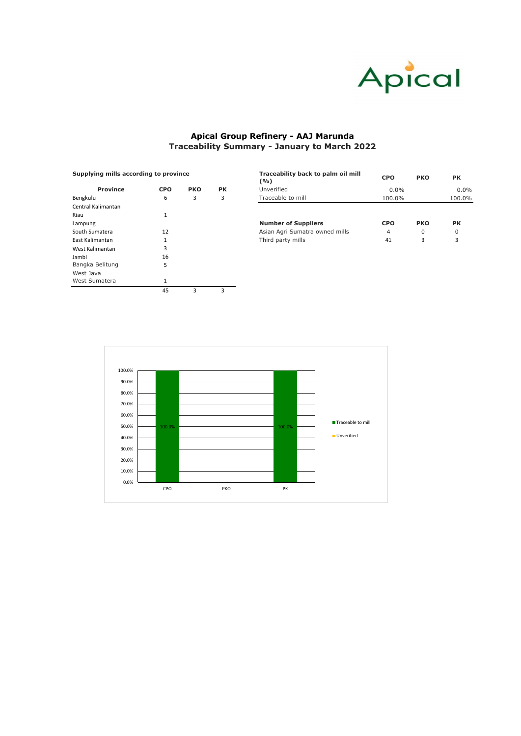| Supplying mills according to province |            |            |           | Traceability back to palm oil mill<br>(9/6) | <b>CPO</b> | <b>PK</b>  |           |  |
|---------------------------------------|------------|------------|-----------|---------------------------------------------|------------|------------|-----------|--|
| <b>Province</b>                       | <b>CPO</b> | <b>PKO</b> | <b>PK</b> | Unverified                                  | $0.0\%$    |            | $0.0\%$   |  |
| Bengkulu                              | 6<br>3     |            |           | Traceable to mill                           | 100.0%     |            | 100.0%    |  |
| Central Kalimantan                    |            |            |           |                                             |            |            |           |  |
| Riau                                  |            |            |           |                                             |            |            |           |  |
| Lampung                               |            |            |           | <b>Number of Suppliers</b>                  | <b>CPO</b> | <b>PKO</b> | <b>PK</b> |  |
| South Sumatera                        | 12         |            |           | Asian Agri Sumatra owned mills              | 4          | 0          | 0         |  |
| East Kalimantan                       |            |            |           | Third party mills                           | 41         | 3          | 3         |  |
|                                       | $\sim$     |            |           |                                             |            |            |           |  |

| <b>Province</b>    | <b>CPO</b>  | <b>PKO</b> | <b>PK</b> |
|--------------------|-------------|------------|-----------|
| Bengkulu           | 6           | 3          | 3         |
| Central Kalimantan |             |            |           |
| Riau               | 1           |            |           |
| Lampung            |             |            |           |
| South Sumatera     | 12          |            |           |
| East Kalimantan    | 1           |            |           |
| West Kalimantan    | 3           |            |           |
| Jambi              | 16          |            |           |
| Bangka Belitung    | 5           |            |           |
| West Java          |             |            |           |
| West Sumatera      | $\mathbf 1$ |            |           |
|                    | 45          | 3          | 3         |



# **Apical Group Refinery - AAJ Marunda Traceability Summary - January to March 2022**

#### **Supplying mills according to province**

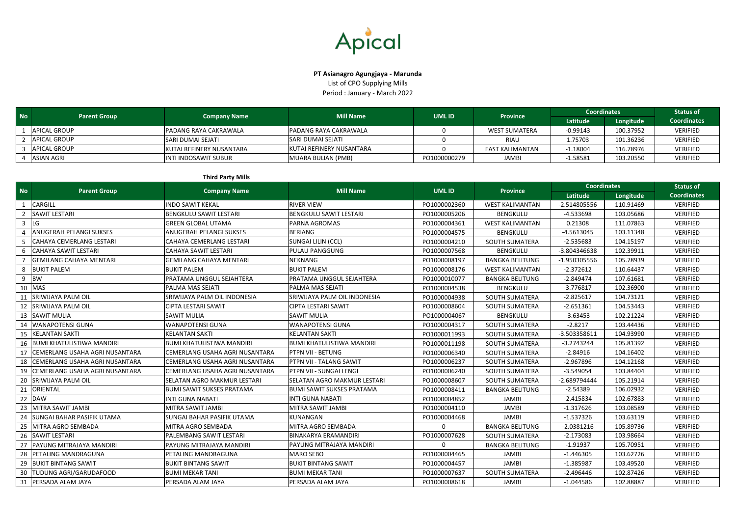### **Third Party Mills**

| <b>No</b> | <b>Parent Group</b> |                          | <b>Mill Name</b>         | UML ID       | <b>Province</b>      | <b>Coordinates</b> |           | <b>Status of</b>   |
|-----------|---------------------|--------------------------|--------------------------|--------------|----------------------|--------------------|-----------|--------------------|
|           |                     | <b>Company Name</b>      |                          |              |                      | Latitude           | Longitude | <b>Coordinates</b> |
|           | APICAL GROUP        | IPADANG RAYA CAKRAWALA   | PADANG RAYA CAKRAWALA    |              | <b>WEST SUMATERA</b> | $-0.99143$         | 100.37952 | <b>VERIFIED</b>    |
|           | APICAL GROUP        | <b>SARI DUMAI SEJATI</b> | <b>SARI DUMAI SEJATI</b> |              | <b>RIAU</b>          | 1.75703            | 101.36236 | <b>VERIFIED</b>    |
|           | <b>APICAL GROUP</b> | KUTAI REFINERY NUSANTARA | KUTAI REFINERY NUSANTARA |              | EAST KALIMANTAN      | $-1.18004$         | 116.78976 | <b>VERIFIED</b>    |
|           | ASIAN AGRI          | IINTI INDOSAWIT SUBUR    | MUARA BULIAN (PMB)       | PO1000000279 | <b>JAMBI</b>         | 1.58581            | 103.20550 | <b>VERIFIED</b>    |

|                |                                   |                                  | <b>Mill Name</b>                 | <b>UML ID</b> |                        | <b>Coordinates</b> |           | <b>Status of</b>   |
|----------------|-----------------------------------|----------------------------------|----------------------------------|---------------|------------------------|--------------------|-----------|--------------------|
| <b>No</b>      | <b>Parent Group</b>               | <b>Company Name</b>              |                                  |               | <b>Province</b>        | Latitude           | Longitude | <b>Coordinates</b> |
| $\mathbf{1}$   | <b>CARGILL</b>                    | <b>INDO SAWIT KEKAL</b>          | <b>RIVER VIEW</b>                | PO1000002360  | <b>WEST KALIMANTAN</b> | -2.514805556       | 110.91469 | <b>VERIFIED</b>    |
| $\overline{z}$ | <b>SAWIT LESTARI</b>              | <b>BENGKULU SAWIT LESTARI</b>    | <b>BENGKULU SAWIT LESTARI</b>    | PO1000005206  | <b>BENGKULU</b>        | $-4.533698$        | 103.05686 | VERIFIED           |
| $\overline{3}$ | LG                                | <b>GREEN GLOBAL UTAMA</b>        | PARNA AGROMAS                    | PO1000004361  | <b>WEST KALIMANTAN</b> | 0.21308            | 111.07863 | <b>VERIFIED</b>    |
| $\Delta$       | ANUGERAH PELANGI SUKSES           | ANUGERAH PELANGI SUKSES          | <b>BERIANG</b>                   | PO1000004575  | <b>BENGKULU</b>        | $-4.5613045$       | 103.11348 | <b>VERIFIED</b>    |
| -5             | <b>CAHAYA CEMERLANG LESTARI</b>   | <b>CAHAYA CEMERLANG LESTARI</b>  | <b>SUNGAI LILIN (CCL)</b>        | PO1000004210  | SOUTH SUMATERA         | $-2.535683$        | 104.15197 | <b>VERIFIED</b>    |
|                | <b>CAHAYA SAWIT LESTARI</b>       | <b>CAHAYA SAWIT LESTARI</b>      | PULAU PANGGUNG                   | PO1000007568  | <b>BENGKULU</b>        | -3.804346638       | 102.39911 | VERIFIED           |
|                | <b>GEMILANG CAHAYA MENTARI</b>    | <b>GEMILANG CAHAYA MENTARI</b>   | NEKNANG                          | PO1000008197  | <b>BANGKA BELITUNG</b> | -1.950305556       | 105.78939 | VERIFIED           |
| 8              | <b>BUKIT PALEM</b>                | <b>BUKIT PALEM</b>               | <b>BUKIT PALEM</b>               | PO1000008176  | <b>WEST KALIMANTAN</b> | $-2.372612$        | 110.64437 | <b>VERIFIED</b>    |
| 9              | <b>BW</b>                         | PRATAMA UNGGUL SEJAHTERA         | PRATAMA UNGGUL SEJAHTERA         | PO1000010077  | <b>BANGKA BELITUNG</b> | $-2.849474$        | 107.61681 | VERIFIED           |
| 10             | <b>MAS</b>                        | PALMA MAS SEJATI                 | PALMA MAS SEJATI                 | PO1000004538  | <b>BENGKULU</b>        | $-3.776817$        | 102.36900 | <b>VERIFIED</b>    |
| 11             | SRIWIJAYA PALM OIL                | SRIWIJAYA PALM OIL INDONESIA     | SRIWIJAYA PALM OIL INDONESIA     | PO1000004938  | <b>SOUTH SUMATERA</b>  | $-2.825617$        | 104.73121 | <b>VERIFIED</b>    |
| 12             | SRIWIJAYA PALM OIL                | <b>CIPTA LESTARI SAWIT</b>       | CIPTA LESTARI SAWIT              | PO1000008604  | SOUTH SUMATERA         | $-2.651361$        | 104.53443 | <b>VERIFIED</b>    |
| 13             | <b>SAWIT MULIA</b>                | <b>SAWIT MULIA</b>               | <b>SAWIT MULIA</b>               | PO1000004067  | <b>BENGKULU</b>        | $-3.63453$         | 102.21224 | VERIFIED           |
| 14             | <b>WANAPOTENSI GUNA</b>           | <b>WANAPOTENSI GUNA</b>          | <b>WANAPOTENSI GUNA</b>          | PO1000004317  | SOUTH SUMATERA         | $-2.8217$          | 103.44436 | <b>VERIFIED</b>    |
| 15             | <b>KELANTAN SAKTI</b>             | <b>KELANTAN SAKTI</b>            | <b>KELANTAN SAKTI</b>            | PO1000011993  | SOUTH SUMATERA         | -3.503358611       | 104.93990 | <b>VERIFIED</b>    |
| 16             | <b>BUMI KHATULISTIWA MANDIRI</b>  | <b>BUMI KHATULISTIWA MANDIRI</b> | <b>BUMI KHATULISTIWA MANDIRI</b> | PO1000011198  | SOUTH SUMATERA         | $-3.2743244$       | 105.81392 | <b>VERIFIED</b>    |
| 17             | CEMERLANG USAHA AGRI NUSANTARA    | CEMERLANG USAHA AGRI NUSANTARA   | PTPN VII - BETUNG                | PO1000006340  | SOUTH SUMATERA         | $-2.84916$         | 104.16402 | VERIFIED           |
| 18             | CEMERLANG USAHA AGRI NUSANTARA    | CEMERLANG USAHA AGRI NUSANTARA   | PTPN VII - TALANG SAWIT          | PO1000006237  | SOUTH SUMATERA         | $-2.967896$        | 104.12168 | <b>VERIFIED</b>    |
| 19             | CEMERLANG USAHA AGRI NUSANTARA    | CEMERLANG USAHA AGRI NUSANTARA   | PTPN VII - SUNGAI LENGI          | PO1000006240  | SOUTH SUMATERA         | $-3.549054$        | 103.84404 | VERIFIED           |
| 20             | SRIWIJAYA PALM OIL                | SELATAN AGRO MAKMUR LESTARI      | SELATAN AGRO MAKMUR LESTARI      | PO1000008607  | SOUTH SUMATERA         | -2.689794444       | 105.21914 | <b>VERIFIED</b>    |
|                | 21 ORIENTAL                       | <b>BUMI SAWIT SUKSES PRATAMA</b> | <b>BUMI SAWIT SUKSES PRATAMA</b> | PO1000008411  | <b>BANGKA BELITUNG</b> | $-2.54389$         | 106.02932 | VERIFIED           |
| 22             | <b>DAW</b>                        | <b>INTI GUNA NABATI</b>          | <b>INTI GUNA NABATI</b>          | PO1000004852  | <b>JAMBI</b>           | $-2.415834$        | 102.67883 | VERIFIED           |
| 23             | MITRA SAWIT JAMBI                 | MITRA SAWIT JAMBI                | MITRA SAWIT JAMBI                | PO1000004110  | <b>JAMBI</b>           | $-1.317626$        | 103.08589 | VERIFIED           |
| 24             | <b>SUNGAI BAHAR PASIFIK UTAMA</b> | SUNGAI BAHAR PASIFIK UTAMA       | KUNANGAN                         | PO1000004468  | <b>JAMBI</b>           | $-1.537326$        | 103.63119 | <b>VERIFIED</b>    |
| 25             | MITRA AGRO SEMBADA                | MITRA AGRO SEMBADA               | MITRA AGRO SEMBADA               | $\Omega$      | <b>BANGKA BELITUNG</b> | $-2.0381216$       | 105.89736 | VERIFIED           |
| 26             | <b>SAWIT LESTARI</b>              | PALEMBANG SAWIT LESTARI          | BINAKARYA ERAMANDIRI             | PO1000007628  | SOUTH SUMATERA         | $-2.173083$        | 103.98664 | <b>VERIFIED</b>    |
| 27             | PAYUNG MITRAJAYA MANDIRI          | PAYUNG MITRAJAYA MANDIRI         | PAYUNG MITRAJAYA MANDIRI         | $\mathbf 0$   | <b>BANGKA BELITUNG</b> | $-1.91937$         | 105.70951 | VERIFIED           |
| 28             | <b>PETALING MANDRAGUNA</b>        | PETALING MANDRAGUNA              | <b>MARO SEBO</b>                 | PO1000004465  | <b>JAMBI</b>           | $-1.446305$        | 103.62726 | <b>VERIFIED</b>    |
| 29             | <b>BUKIT BINTANG SAWIT</b>        | <b>BUKIT BINTANG SAWIT</b>       | <b>BUKIT BINTANG SAWIT</b>       | PO1000004457  | <b>JAMBI</b>           | $-1.385987$        | 103.49520 | VERIFIED           |
| 30             | <b>TUDUNG AGRI/GARUDAFOOD</b>     | <b>BUMI MEKAR TANI</b>           | <b>BUMI MEKAR TANI</b>           | PO1000007637  | SOUTH SUMATERA         | $-2.496446$        | 102.87426 | <b>VERIFIED</b>    |
| 31             | <b>PERSADA ALAM JAYA</b>          | PERSADA ALAM JAYA                | PERSADA ALAM JAYA                | PO1000008618  | <b>JAMBI</b>           | $-1.044586$        | 102.88887 | <b>VERIFIED</b>    |



## **PT Asianagro Agungjaya - Marunda**

List of CPO Supplying Mills Period : January - March 2022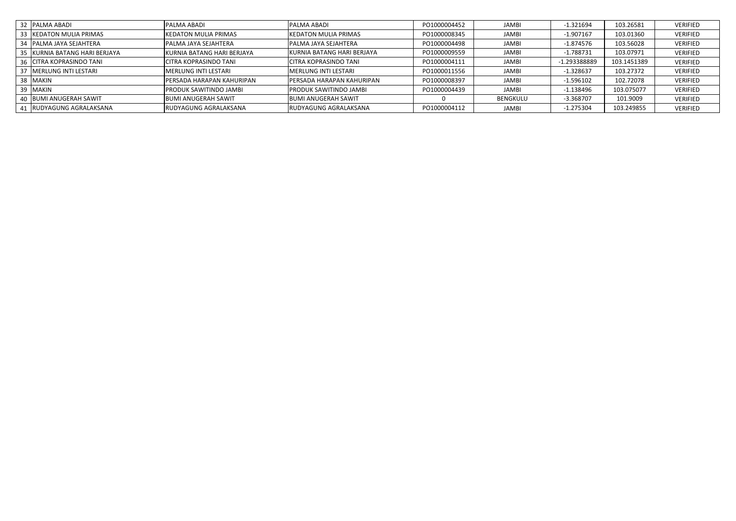| 32 PALMA ABADI                | <b>IPALMA ABADI</b>               | <b>IPALMA ABADI</b>               | PO1000004452 | <b>JAMBI</b> | $-1.321694$  | 103.26581   | <b>VERIFIED</b> |
|-------------------------------|-----------------------------------|-----------------------------------|--------------|--------------|--------------|-------------|-----------------|
| 33 KEDATON MULIA PRIMAS       | <b>IKEDATON MULIA PRIMAS</b>      | <b>KEDATON MULIA PRIMAS</b>       | PO1000008345 | <b>JAMBI</b> | $-1.907167$  | 103.01360   | VERIFIED        |
| 34   PALMA JAYA SEJAHTERA     | <b>PALMA JAYA SEJAHTERA</b>       | <b>IPALMA JAYA SEJAHTERA</b>      | PO1000004498 | JAMBI        | $-1.874576$  | 103.56028   | VERIFIED        |
| 35 KURNIA BATANG HARI BERJAYA | KURNIA BATANG HARI BERJAYA        | KURNIA BATANG HARI BERJAYA        | PO1000009559 | JAMBI        | $-1.788731$  | 103.07971   | VERIFIED        |
| 36 ICITRA KOPRASINDO TANI     | <b>CITRA KOPRASINDO TANI</b>      | <b>CITRA KOPRASINDO TANI</b>      | PO1000004111 | JAMBI        | -1.293388889 | 103.1451389 | VERIFIED        |
| 37   MERLUNG INTI LESTARI     | <b>IMERLUNG INTI LESTARI</b>      | IMERLUNG INTI LESTARI             | PO1000011556 | JAMBI        | $-1.328637$  | 103.27372   | VERIFIED        |
| 38 MAKIN                      | <b>IPERSADA HARAPAN KAHURIPAN</b> | <b>IPERSADA HARAPAN KAHURIPAN</b> | PO1000008397 | JAMBI        | $-1.596102$  | 102.72078   | VERIFIED        |
| 39 MAKIN                      | <b>IPRODUK SAWITINDO JAMBI</b>    | <b>PRODUK SAWITINDO JAMBI</b>     | PO1000004439 | JAMBI        | $-1.138496$  | 103.075077  | <b>VERIFIED</b> |
| 40 BUMI ANUGERAH SAWIT        | <b>IBUMI ANUGERAH SAWIT</b>       | <b>IBUMI ANUGERAH SAWIT</b>       |              | BENGKULU     | $-3.368707$  | 101.9009    | VERIFIED        |
| 41  RUDYAGUNG AGRALAKSANA     | RUDYAGUNG AGRALAKSANA             | RUDYAGUNG AGRALAKSANA             | PO1000004112 | JAMBI        | $-1.275304$  | 103.249855  | VERIFIED        |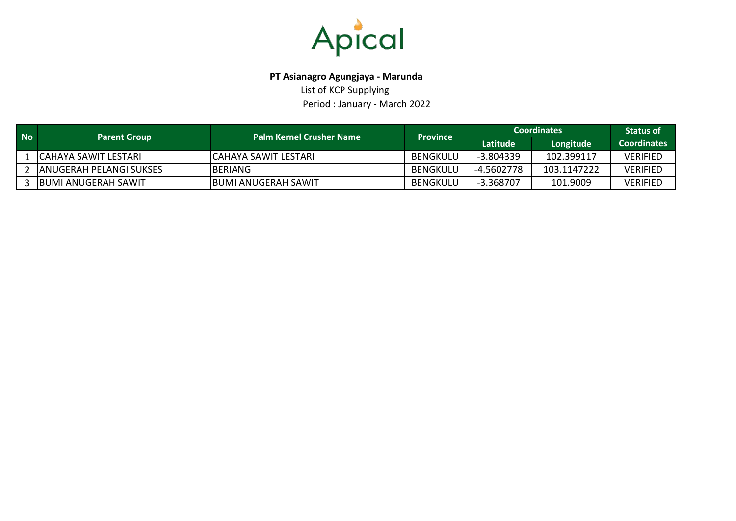

### **PT Asianagro Agungjaya - Marunda**

List of KCP Supplying Period : January - March 2022

| <b>No</b> | <b>Parent Group</b>          | <b>Palm Kernel Crusher Name</b> | <b>Province</b> | <b>Coordinates</b> | <b>Status of</b> |                    |
|-----------|------------------------------|---------------------------------|-----------------|--------------------|------------------|--------------------|
|           |                              |                                 |                 | Latitude           | Longitude        | <b>Coordinates</b> |
|           | L ICAHAYA SAWIT LESTARI.     | ICAHAYA SAWIT LESTARI           | BENGKULU        | -3.804339          | 102.399117       | <b>VERIFIED</b>    |
|           | 2 JANUGERAH PELANGI SUKSES   | <b>IBERIANG</b>                 | BENGKULU        | -4.5602778         | 103.1147222      | <b>VERIFIED</b>    |
|           | 3 <b>BUMI ANUGERAH SAWIT</b> | IBUMI ANUGERAH SAWIT            | BENGKULU        | -3.368707          | 101.9009         | <b>VERIFIED</b>    |